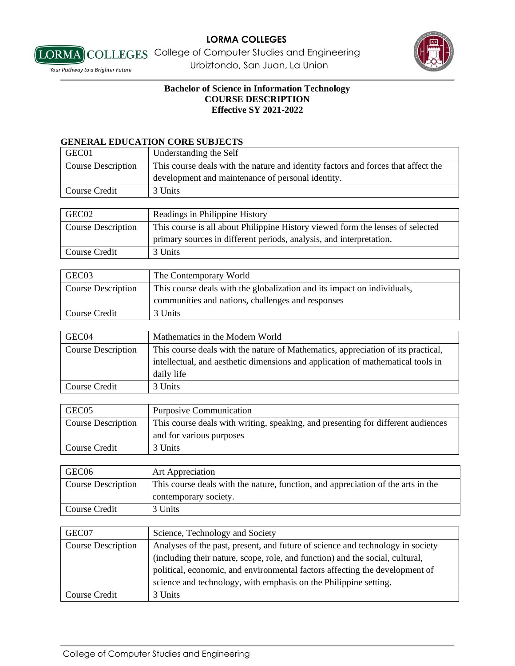

## **Bachelor of Science in Information Technology COURSE DESCRIPTION Effective SY 2021-2022**

#### **GENERAL EDUCATION CORE SUBJECTS**

| GEC01                     | Understanding the Self                                                            |
|---------------------------|-----------------------------------------------------------------------------------|
| <b>Course Description</b> | This course deals with the nature and identity factors and forces that affect the |
|                           | development and maintenance of personal identity.                                 |
| Course Credit             | 3 Units                                                                           |

| GEC02                     | Readings in Philippine History                                                 |
|---------------------------|--------------------------------------------------------------------------------|
| <b>Course Description</b> | This course is all about Philippine History viewed form the lenses of selected |
|                           | primary sources in different periods, analysis, and interpretation.            |
| Course Credit             | 3 Units                                                                        |

| GEC03                     | The Contemporary World                                                  |
|---------------------------|-------------------------------------------------------------------------|
| <b>Course Description</b> | This course deals with the globalization and its impact on individuals, |
|                           | communities and nations, challenges and responses                       |
| Course Credit             | 3 Units                                                                 |

| GEC04              | Mathematics in the Modern World                                                  |
|--------------------|----------------------------------------------------------------------------------|
| Course Description | This course deals with the nature of Mathematics, appreciation of its practical, |
|                    | intellectual, and aesthetic dimensions and application of mathematical tools in  |
|                    | daily life                                                                       |
| Course Credit      | 3 Units                                                                          |

| GEC <sub>05</sub>  | <b>Purposive Communication</b>                                                   |
|--------------------|----------------------------------------------------------------------------------|
| Course Description | This course deals with writing, speaking, and presenting for different audiences |
|                    | and for various purposes                                                         |
| Course Credit      | 3 Units                                                                          |

| GEC <sub>06</sub>  | <b>Art Appreciation</b>                                                          |
|--------------------|----------------------------------------------------------------------------------|
| Course Description | This course deals with the nature, function, and appreciation of the arts in the |
|                    | contemporary society.                                                            |
| Course Credit      | 3 Units                                                                          |

| GEC07                     | Science, Technology and Society                                                |
|---------------------------|--------------------------------------------------------------------------------|
| <b>Course Description</b> | Analyses of the past, present, and future of science and technology in society |
|                           | (including their nature, scope, role, and function) and the social, cultural,  |
|                           | political, economic, and environmental factors affecting the development of    |
|                           | science and technology, with emphasis on the Philippine setting.               |
| Course Credit             | 3 Units                                                                        |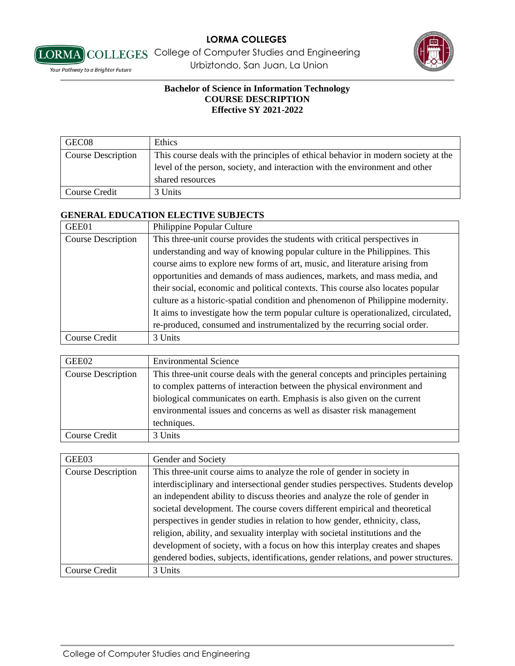



## **Bachelor of Science in Information Technology COURSE DESCRIPTION Effective SY 2021-2022**

| GEC08              | Ethics                                                                             |
|--------------------|------------------------------------------------------------------------------------|
| Course Description | This course deals with the principles of ethical behavior in modern society at the |
|                    | level of the person, society, and interaction with the environment and other       |
|                    | shared resources                                                                   |
| Course Credit      | 3 Units                                                                            |

## **GENERAL EDUCATION ELECTIVE SUBJECTS**

| GEE01                     | Philippine Popular Culture                                                          |
|---------------------------|-------------------------------------------------------------------------------------|
| <b>Course Description</b> | This three-unit course provides the students with critical perspectives in          |
|                           | understanding and way of knowing popular culture in the Philippines. This           |
|                           | course aims to explore new forms of art, music, and literature arising from         |
|                           | opportunities and demands of mass audiences, markets, and mass media, and           |
|                           | their social, economic and political contexts. This course also locates popular     |
|                           | culture as a historic-spatial condition and phenomenon of Philippine modernity.     |
|                           | It aims to investigate how the term popular culture is operationalized, circulated, |
|                           | re-produced, consumed and instrumentalized by the recurring social order.           |
| Course Credit             | 3 Units                                                                             |

| GEE02                     | <b>Environmental Science</b>                                                     |
|---------------------------|----------------------------------------------------------------------------------|
| <b>Course Description</b> | This three-unit course deals with the general concepts and principles pertaining |
|                           | to complex patterns of interaction between the physical environment and          |
|                           | biological communicates on earth. Emphasis is also given on the current          |
|                           | environmental issues and concerns as well as disaster risk management            |
|                           | techniques.                                                                      |
| Course Credit             | 3 Units                                                                          |

| GEE03                     | Gender and Society                                                                  |
|---------------------------|-------------------------------------------------------------------------------------|
| <b>Course Description</b> | This three-unit course aims to analyze the role of gender in society in             |
|                           | interdisciplinary and intersectional gender studies perspectives. Students develop  |
|                           | an independent ability to discuss theories and analyze the role of gender in        |
|                           | societal development. The course covers different empirical and theoretical         |
|                           | perspectives in gender studies in relation to how gender, ethnicity, class,         |
|                           | religion, ability, and sexuality interplay with societal institutions and the       |
|                           | development of society, with a focus on how this interplay creates and shapes       |
|                           | gendered bodies, subjects, identifications, gender relations, and power structures. |
| Course Credit             | 3 Units                                                                             |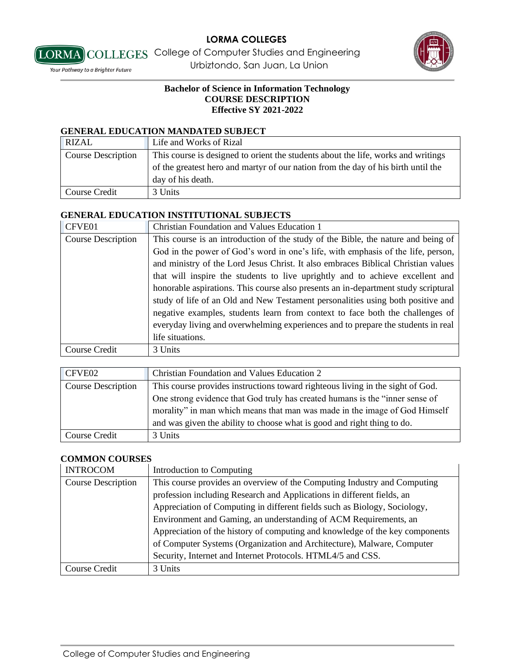

**LORMA** COLLEGES College of Computer Studies and Engineering *Vour Pathway to a Brighter Future* **Example 2** Urbiztondo, San Juan, La Union

## **Bachelor of Science in Information Technology COURSE DESCRIPTION Effective SY 2021-2022**

#### **GENERAL EDUCATION MANDATED SUBJECT**

| <b>RIZAL</b>       | Life and Works of Rizal                                                           |
|--------------------|-----------------------------------------------------------------------------------|
| Course Description | This course is designed to orient the students about the life, works and writings |
|                    | of the greatest hero and martyr of our nation from the day of his birth until the |
|                    | day of his death.                                                                 |
| Course Credit      | 3 Units                                                                           |

## **GENERAL EDUCATION INSTITUTIONAL SUBJECTS**

| CFVE01                    | <b>Christian Foundation and Values Education 1</b>                                 |
|---------------------------|------------------------------------------------------------------------------------|
| <b>Course Description</b> | This course is an introduction of the study of the Bible, the nature and being of  |
|                           | God in the power of God's word in one's life, with emphasis of the life, person,   |
|                           | and ministry of the Lord Jesus Christ. It also embraces Biblical Christian values  |
|                           | that will inspire the students to live uprightly and to achieve excellent and      |
|                           | honorable aspirations. This course also presents an in-department study scriptural |
|                           | study of life of an Old and New Testament personalities using both positive and    |
|                           | negative examples, students learn from context to face both the challenges of      |
|                           | everyday living and overwhelming experiences and to prepare the students in real   |
|                           | life situations.                                                                   |
| Course Credit             | 3 Units                                                                            |

| CFVE02             | <b>Christian Foundation and Values Education 2</b>                             |
|--------------------|--------------------------------------------------------------------------------|
| Course Description | This course provides instructions toward righteous living in the sight of God. |
|                    | One strong evidence that God truly has created humans is the "inner sense of   |
|                    | morality" in man which means that man was made in the image of God Himself     |
|                    | and was given the ability to choose what is good and right thing to do.        |
| Course Credit      | 3 Units                                                                        |

#### **COMMON COURSES**

| <b>INTROCOM</b>           | Introduction to Computing                                                    |
|---------------------------|------------------------------------------------------------------------------|
| <b>Course Description</b> | This course provides an overview of the Computing Industry and Computing     |
|                           | profession including Research and Applications in different fields, an       |
|                           | Appreciation of Computing in different fields such as Biology, Sociology,    |
|                           | Environment and Gaming, an understanding of ACM Requirements, an             |
|                           | Appreciation of the history of computing and knowledge of the key components |
|                           | of Computer Systems (Organization and Architecture), Malware, Computer       |
|                           | Security, Internet and Internet Protocols. HTML4/5 and CSS.                  |
| Course Credit             | 3 Units                                                                      |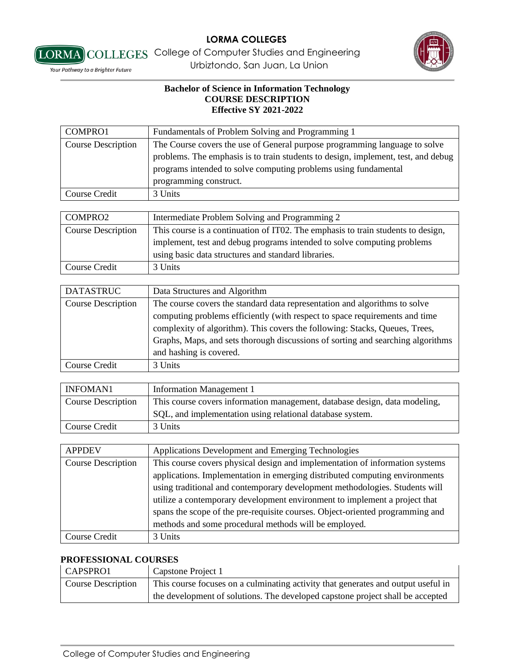



#### **Bachelor of Science in Information Technology COURSE DESCRIPTION Effective SY 2021-2022**

| COMPRO1                   | Fundamentals of Problem Solving and Programming 1                                 |
|---------------------------|-----------------------------------------------------------------------------------|
| <b>Course Description</b> | The Course covers the use of General purpose programming language to solve        |
|                           | problems. The emphasis is to train students to design, implement, test, and debug |
|                           | programs intended to solve computing problems using fundamental                   |
|                           | programming construct.                                                            |
| Course Credit             | 3 Units                                                                           |
|                           |                                                                                   |
| COMPRO2                   | Intermediate Problem Solving and Programming 2                                    |
| <b>Course Description</b> | This course is a continuation of IT02. The emphasis to train students to design,  |
|                           | implement, test and debug programs intended to solve computing problems           |
|                           | using basic data structures and standard libraries.                               |
| Course Credit             | 3 Units                                                                           |

| <b>DATASTRUC</b>          | Data Structures and Algorithm                                                   |
|---------------------------|---------------------------------------------------------------------------------|
| <b>Course Description</b> | The course covers the standard data representation and algorithms to solve      |
|                           | computing problems efficiently (with respect to space requirements and time     |
|                           | complexity of algorithm). This covers the following: Stacks, Queues, Trees,     |
|                           | Graphs, Maps, and sets thorough discussions of sorting and searching algorithms |
|                           | and hashing is covered.                                                         |
| Course Credit             | 3 Units                                                                         |

| INFOMAN1           | <b>Information Management 1</b>                                            |
|--------------------|----------------------------------------------------------------------------|
| Course Description | This course covers information management, database design, data modeling, |
|                    | SQL, and implementation using relational database system.                  |
| Course Credit      | 3 Units                                                                    |

| <b>APPDEV</b>             | Applications Development and Emerging Technologies                            |
|---------------------------|-------------------------------------------------------------------------------|
| <b>Course Description</b> | This course covers physical design and implementation of information systems  |
|                           | applications. Implementation in emerging distributed computing environments   |
|                           | using traditional and contemporary development methodologies. Students will   |
|                           | utilize a contemporary development environment to implement a project that    |
|                           | spans the scope of the pre-requisite courses. Object-oriented programming and |
|                           | methods and some procedural methods will be employed.                         |
| Course Credit             | 3 Units                                                                       |

# **PROFESSIONAL COURSES**

| CAPSPRO1                  | Capstone Project 1                                                                |
|---------------------------|-----------------------------------------------------------------------------------|
| <b>Course Description</b> | This course focuses on a culminating activity that generates and output useful in |
|                           | the development of solutions. The developed capstone project shall be accepted    |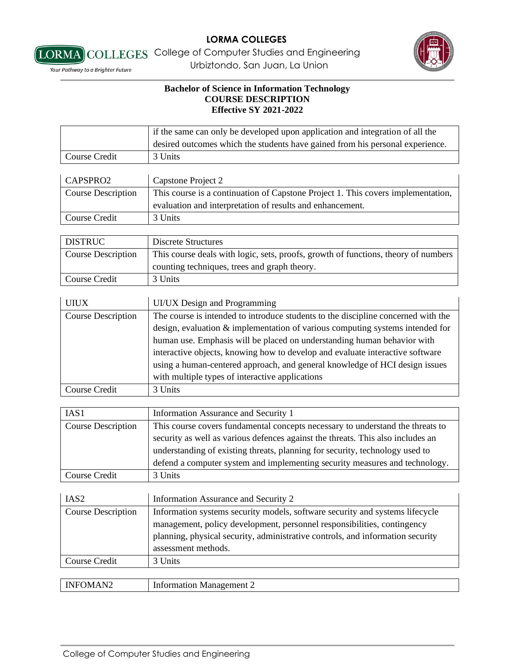



[LORMA] COLLEGES College of Computer Studies and Engineering *Vour Pathway to a Brighter Future* **Example 2** Urbiztondo, San Juan, La Union

|                           | if the same can only be developed upon application and integration of all the      |
|---------------------------|------------------------------------------------------------------------------------|
|                           | desired outcomes which the students have gained from his personal experience.      |
| <b>Course Credit</b>      | 3 Units                                                                            |
|                           |                                                                                    |
| CAPSPRO2                  | Capstone Project 2                                                                 |
| <b>Course Description</b> | This course is a continuation of Capstone Project 1. This covers implementation,   |
|                           | evaluation and interpretation of results and enhancement.                          |
| <b>Course Credit</b>      | 3 Units                                                                            |
|                           |                                                                                    |
| <b>DISTRUC</b>            | <b>Discrete Structures</b>                                                         |
| <b>Course Description</b> | This course deals with logic, sets, proofs, growth of functions, theory of numbers |
|                           | counting techniques, trees and graph theory.                                       |
| <b>Course Credit</b>      | 3 Units                                                                            |
|                           |                                                                                    |
| <b>UIUX</b>               | UI/UX Design and Programming                                                       |
| <b>Course Description</b> | The course is intended to introduce students to the discipline concerned with the  |
|                           | design, evaluation & implementation of various computing systems intended for      |
|                           | human use. Emphasis will be placed on understanding human behavior with            |
|                           | interactive objects, knowing how to develop and evaluate interactive software      |
|                           | using a human-centered approach, and general knowledge of HCI design issues        |
|                           | with multiple types of interactive applications                                    |
| <b>Course Credit</b>      | 3 Units                                                                            |
|                           |                                                                                    |
| IAS1                      | Information Assurance and Security 1                                               |
| <b>Course Description</b> | This course covers fundamental concepts necessary to understand the threats to     |
|                           | security as well as various defences against the threats. This also includes an    |
|                           | understanding of existing threats, planning for security, technology used to       |
|                           | defend a computer system and implementing security measures and technology.        |
| <b>Course Credit</b>      | 3 Units                                                                            |
|                           |                                                                                    |
| IAS <sub>2</sub>          | Information Assurance and Security 2                                               |
| <b>Course Description</b> | Information systems security models, software security and systems lifecycle       |
|                           | management, policy development, personnel responsibilities, contingency            |
|                           | planning, physical security, administrative controls, and information security     |
|                           | assessment methods.                                                                |
| Course Credit             | 3 Units                                                                            |
|                           |                                                                                    |
| <b>INFOMAN2</b>           | <b>Information Management 2</b>                                                    |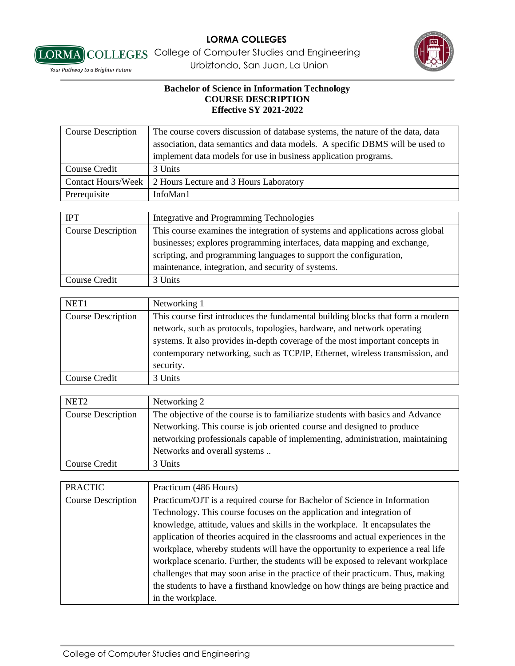



[LORMA] COLLEGES College of Computer Studies and Engineering *Vour Pathway to a Brighter Future* **Example 2** Urbiztondo, San Juan, La Union

| <b>Course Description</b> | The course covers discussion of database systems, the nature of the data, data |
|---------------------------|--------------------------------------------------------------------------------|
|                           | association, data semantics and data models. A specific DBMS will be used to   |
|                           | implement data models for use in business application programs.                |
| Course Credit             | 3 Units                                                                        |
| <b>Contact Hours/Week</b> | 2 Hours Lecture and 3 Hours Laboratory                                         |
| Prerequisite              | InfoMan1                                                                       |
|                           |                                                                                |
| <b>IPT</b>                | Integrative and Programming Technologies                                       |
| <b>Course Description</b> | This course examines the integration of systems and applications across global |
|                           | businesses; explores programming interfaces, data mapping and exchange,        |
|                           | scripting, and programming languages to support the configuration,             |
|                           | maintenance, integration, and security of systems.                             |
| Course Credit             | 3 Units                                                                        |

| NET <sub>1</sub>          | Networking 1                                                                                                                                                                                                                                                                                                                 |
|---------------------------|------------------------------------------------------------------------------------------------------------------------------------------------------------------------------------------------------------------------------------------------------------------------------------------------------------------------------|
| <b>Course Description</b> | This course first introduces the fundamental building blocks that form a modern<br>network, such as protocols, topologies, hardware, and network operating<br>systems. It also provides in-depth coverage of the most important concepts in<br>contemporary networking, such as TCP/IP, Ethernet, wireless transmission, and |
|                           | security.                                                                                                                                                                                                                                                                                                                    |
| <b>Course Credit</b>      | 3 Units                                                                                                                                                                                                                                                                                                                      |

| NET <sub>2</sub>          | Networking 2                                                                   |
|---------------------------|--------------------------------------------------------------------------------|
| <b>Course Description</b> | The objective of the course is to familiarize students with basics and Advance |
|                           | Networking. This course is job oriented course and designed to produce         |
|                           | networking professionals capable of implementing, administration, maintaining  |
|                           | Networks and overall systems                                                   |
| Course Credit             | 3 Units                                                                        |

| <b>PRACTIC</b>            | Practicum (486 Hours)                                                            |
|---------------------------|----------------------------------------------------------------------------------|
| <b>Course Description</b> | Practicum/OJT is a required course for Bachelor of Science in Information        |
|                           | Technology. This course focuses on the application and integration of            |
|                           | knowledge, attitude, values and skills in the workplace. It encapsulates the     |
|                           | application of theories acquired in the classrooms and actual experiences in the |
|                           | workplace, whereby students will have the opportunity to experience a real life  |
|                           | workplace scenario. Further, the students will be exposed to relevant workplace  |
|                           | challenges that may soon arise in the practice of their practicum. Thus, making  |
|                           | the students to have a firsthand knowledge on how things are being practice and  |
|                           | in the workplace.                                                                |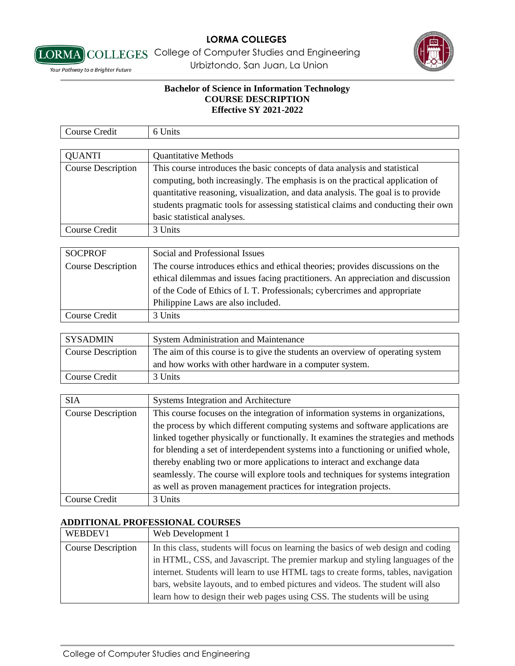

[LORMA] COLLEGES College of Computer Studies and Engineering *Vour Pathway to a Brighter Future* **Example 2** Urbiztondo, San Juan, La Union

## **Bachelor of Science in Information Technology COURSE DESCRIPTION Effective SY 2021-2022**

| Course Credit             | 6 Units                                                                            |
|---------------------------|------------------------------------------------------------------------------------|
|                           |                                                                                    |
| <b>QUANTI</b>             | <b>Quantitative Methods</b>                                                        |
| <b>Course Description</b> | This course introduces the basic concepts of data analysis and statistical         |
|                           | computing, both increasingly. The emphasis is on the practical application of      |
|                           | quantitative reasoning, visualization, and data analysis. The goal is to provide   |
|                           | students pragmatic tools for assessing statistical claims and conducting their own |
|                           | basic statistical analyses.                                                        |
| Course Credit             | 3 Units                                                                            |

| <b>SOCPROF</b>            | Social and Professional Issues                                                   |
|---------------------------|----------------------------------------------------------------------------------|
| <b>Course Description</b> | The course introduces ethics and ethical theories; provides discussions on the   |
|                           | ethical dilemmas and issues facing practitioners. An appreciation and discussion |
|                           | of the Code of Ethics of I. T. Professionals; cybercrimes and appropriate        |
|                           | Philippine Laws are also included.                                               |
| Course Credit             | 3 Units                                                                          |

| <b>SYSADMIN</b>           | <b>System Administration and Maintenance</b>                                   |
|---------------------------|--------------------------------------------------------------------------------|
| <b>Course Description</b> | The aim of this course is to give the students an overview of operating system |
|                           | and how works with other hardware in a computer system.                        |
| Course Credit             | 3 Units                                                                        |

| <b>SIA</b>                | Systems Integration and Architecture                                               |
|---------------------------|------------------------------------------------------------------------------------|
| <b>Course Description</b> | This course focuses on the integration of information systems in organizations,    |
|                           | the process by which different computing systems and software applications are     |
|                           | linked together physically or functionally. It examines the strategies and methods |
|                           | for blending a set of interdependent systems into a functioning or unified whole,  |
|                           | thereby enabling two or more applications to interact and exchange data            |
|                           | seamlessly. The course will explore tools and techniques for systems integration   |
|                           | as well as proven management practices for integration projects.                   |
| Course Credit             | 3 Units                                                                            |

# **ADDITIONAL PROFESSIONAL COURSES**

| WEBDEV1                   | Web Development 1                                                                  |
|---------------------------|------------------------------------------------------------------------------------|
| <b>Course Description</b> | In this class, students will focus on learning the basics of web design and coding |
|                           | in HTML, CSS, and Javascript. The premier markup and styling languages of the      |
|                           | internet. Students will learn to use HTML tags to create forms, tables, navigation |
|                           | bars, website layouts, and to embed pictures and videos. The student will also     |
|                           | learn how to design their web pages using CSS. The students will be using          |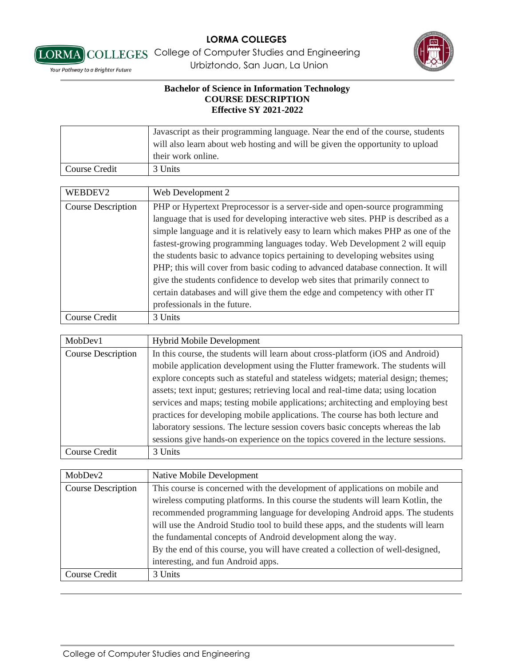



*Vour Pathway to a Brighter Future* **Example 2** Urbiztondo, San Juan, La Union

|               | Javascript as their programming language. Near the end of the course, students<br>will also learn about web hosting and will be given the opportunity to upload<br>their work online. |
|---------------|---------------------------------------------------------------------------------------------------------------------------------------------------------------------------------------|
| Course Credit | 3 Units                                                                                                                                                                               |

| WEBDEV2                   | Web Development 2                                                                 |
|---------------------------|-----------------------------------------------------------------------------------|
| <b>Course Description</b> | PHP or Hypertext Preprocessor is a server-side and open-source programming        |
|                           | language that is used for developing interactive web sites. PHP is described as a |
|                           | simple language and it is relatively easy to learn which makes PHP as one of the  |
|                           | fastest-growing programming languages today. Web Development 2 will equip         |
|                           | the students basic to advance topics pertaining to developing websites using      |
|                           | PHP; this will cover from basic coding to advanced database connection. It will   |
|                           | give the students confidence to develop web sites that primarily connect to       |
|                           | certain databases and will give them the edge and competency with other IT        |
|                           | professionals in the future.                                                      |
| Course Credit             | 3 Units                                                                           |

| MobDev1                   | <b>Hybrid Mobile Development</b>                                                  |
|---------------------------|-----------------------------------------------------------------------------------|
| <b>Course Description</b> | In this course, the students will learn about cross-platform (iOS and Android)    |
|                           | mobile application development using the Flutter framework. The students will     |
|                           | explore concepts such as stateful and stateless widgets; material design; themes; |
|                           | assets; text input; gestures; retrieving local and real-time data; using location |
|                           | services and maps; testing mobile applications; architecting and employing best   |
|                           | practices for developing mobile applications. The course has both lecture and     |
|                           | laboratory sessions. The lecture session covers basic concepts whereas the lab    |
|                           | sessions give hands-on experience on the topics covered in the lecture sessions.  |
| Course Credit             | 3 Units                                                                           |

| MobDev2                   | Native Mobile Development                                                         |
|---------------------------|-----------------------------------------------------------------------------------|
| <b>Course Description</b> | This course is concerned with the development of applications on mobile and       |
|                           | wireless computing platforms. In this course the students will learn Kotlin, the  |
|                           | recommended programming language for developing Android apps. The students        |
|                           | will use the Android Studio tool to build these apps, and the students will learn |
|                           | the fundamental concepts of Android development along the way.                    |
|                           | By the end of this course, you will have created a collection of well-designed,   |
|                           | interesting, and fun Android apps.                                                |
| Course Credit             | 3 Units                                                                           |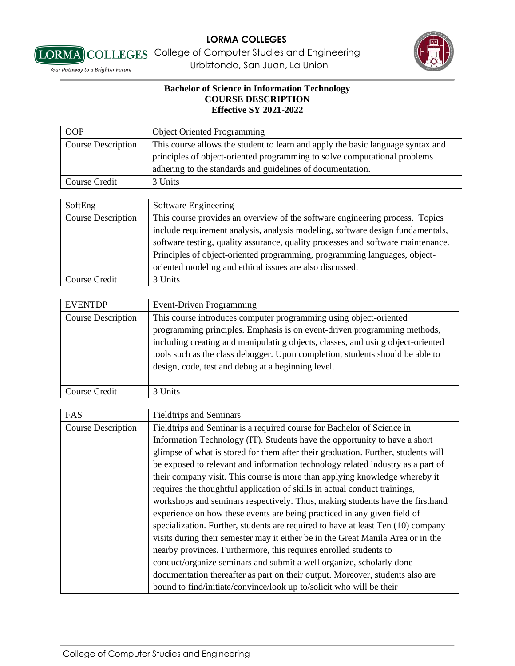



[LORMA] COLLEGES College of Computer Studies and Engineering *Vour Pathway to a Brighter Future* **Example 2** Urbiztondo, San Juan, La Union

| <b>OOP</b>                | <b>Object Oriented Programming</b>                                              |
|---------------------------|---------------------------------------------------------------------------------|
| <b>Course Description</b> | This course allows the student to learn and apply the basic language syntax and |
|                           | principles of object-oriented programming to solve computational problems       |
|                           | adhering to the standards and guidelines of documentation.                      |
| Course Credit             | 3 Units                                                                         |
|                           |                                                                                 |
| SoftEng                   | Software Engineering                                                            |

| <b>DOILLILE</b>           | $50100$ and $1000$ and $1000$                                                    |
|---------------------------|----------------------------------------------------------------------------------|
| <b>Course Description</b> | This course provides an overview of the software engineering process. Topics     |
|                           | include requirement analysis, analysis modeling, software design fundamentals,   |
|                           | software testing, quality assurance, quality processes and software maintenance. |
|                           | Principles of object-oriented programming, programming languages, object-        |
|                           | oriented modeling and ethical issues are also discussed.                         |
| <b>Course Credit</b>      | 3 Units                                                                          |

| <b>EVENTDP</b>            | Event-Driven Programming                                                                                                                                                                                                                                                                                                                                                |
|---------------------------|-------------------------------------------------------------------------------------------------------------------------------------------------------------------------------------------------------------------------------------------------------------------------------------------------------------------------------------------------------------------------|
| <b>Course Description</b> | This course introduces computer programming using object-oriented<br>programming principles. Emphasis is on event-driven programming methods,<br>including creating and manipulating objects, classes, and using object-oriented<br>tools such as the class debugger. Upon completion, students should be able to<br>design, code, test and debug at a beginning level. |
| Course Credit             | 3 Units                                                                                                                                                                                                                                                                                                                                                                 |

| FAS                       | <b>Fieldtrips and Seminars</b>                                                    |
|---------------------------|-----------------------------------------------------------------------------------|
| <b>Course Description</b> | Fieldtrips and Seminar is a required course for Bachelor of Science in            |
|                           | Information Technology (IT). Students have the opportunity to have a short        |
|                           | glimpse of what is stored for them after their graduation. Further, students will |
|                           | be exposed to relevant and information technology related industry as a part of   |
|                           | their company visit. This course is more than applying knowledge whereby it       |
|                           | requires the thoughtful application of skills in actual conduct trainings,        |
|                           | workshops and seminars respectively. Thus, making students have the firsthand     |
|                           | experience on how these events are being practiced in any given field of          |
|                           | specialization. Further, students are required to have at least Ten (10) company  |
|                           | visits during their semester may it either be in the Great Manila Area or in the  |
|                           | nearby provinces. Furthermore, this requires enrolled students to                 |
|                           | conduct/organize seminars and submit a well organize, scholarly done              |
|                           | documentation thereafter as part on their output. Moreover, students also are     |
|                           | bound to find/initiate/convince/look up to/solicit who will be their              |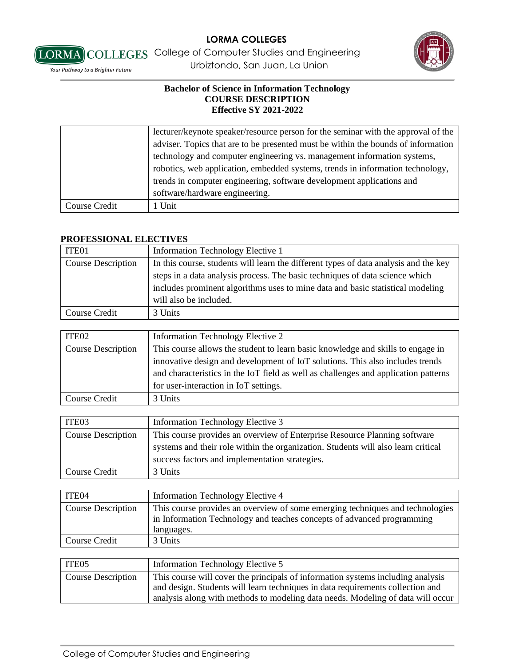

[LORMA] COLLEGES College of Computer Studies and Engineering *Vour Pathway to a Brighter Future* **Example 2** Urbiztondo, San Juan, La Union

### **Bachelor of Science in Information Technology COURSE DESCRIPTION Effective SY 2021-2022**

|               | lecturer/keynote speaker/resource person for the seminar with the approval of the |
|---------------|-----------------------------------------------------------------------------------|
|               | adviser. Topics that are to be presented must be within the bounds of information |
|               | technology and computer engineering vs. management information systems,           |
|               | robotics, web application, embedded systems, trends in information technology,    |
|               | trends in computer engineering, software development applications and             |
|               | software/hardware engineering.                                                    |
| Course Credit | 1 Unit                                                                            |

#### **PROFESSIONAL ELECTIVES**

| ITE01                     | Information Technology Elective 1                                                    |
|---------------------------|--------------------------------------------------------------------------------------|
| <b>Course Description</b> | In this course, students will learn the different types of data analysis and the key |
|                           | steps in a data analysis process. The basic techniques of data science which         |
|                           | includes prominent algorithms uses to mine data and basic statistical modeling       |
|                           | will also be included.                                                               |
| Course Credit             | 3 Units                                                                              |

| ITE <sub>02</sub>  | Information Technology Elective 2                                                   |
|--------------------|-------------------------------------------------------------------------------------|
| Course Description | This course allows the student to learn basic knowledge and skills to engage in     |
|                    | innovative design and development of IoT solutions. This also includes trends       |
|                    | and characteristics in the IoT field as well as challenges and application patterns |
|                    | for user-interaction in IoT settings.                                               |
| Course Credit      | 3 Units                                                                             |

| ITE <sub>03</sub>         | Information Technology Elective 3                                                 |
|---------------------------|-----------------------------------------------------------------------------------|
| <b>Course Description</b> | This course provides an overview of Enterprise Resource Planning software         |
|                           | systems and their role within the organization. Students will also learn critical |
|                           | success factors and implementation strategies.                                    |
| Course Credit             | 3 Units                                                                           |

| ITE04              | Information Technology Elective 4                                                                                                                                     |
|--------------------|-----------------------------------------------------------------------------------------------------------------------------------------------------------------------|
| Course Description | This course provides an overview of some emerging techniques and technologies<br>in Information Technology and teaches concepts of advanced programming<br>languages. |
| Course Credit      | 3 Units                                                                                                                                                               |

| ITE <sub>05</sub>         | Information Technology Elective 5                                               |
|---------------------------|---------------------------------------------------------------------------------|
| <b>Course Description</b> | This course will cover the principals of information systems including analysis |
|                           | and design. Students will learn techniques in data requirements collection and  |
|                           | analysis along with methods to modeling data needs. Modeling of data will occur |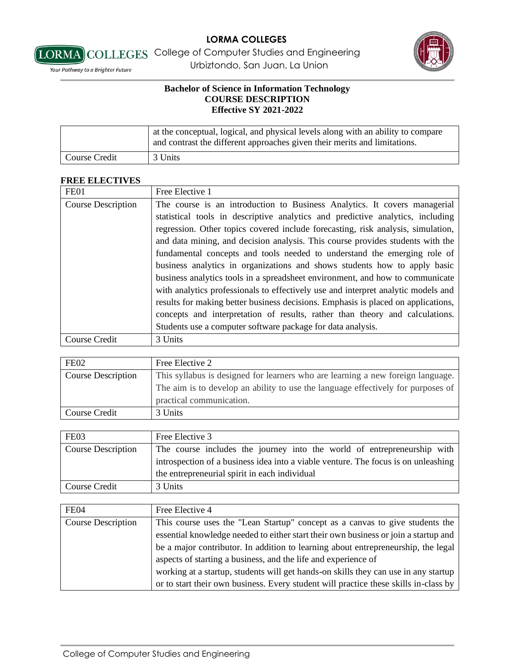

[LORMA] COLLEGES College of Computer Studies and Engineering *Vour Pathway to a Brighter Future* **Example 2** Urbiztondo, San Juan, La Union

## **Bachelor of Science in Information Technology COURSE DESCRIPTION Effective SY 2021-2022**

|               | at the conceptual, logical, and physical levels along with an ability to compare<br>and contrast the different approaches given their merits and limitations. |
|---------------|---------------------------------------------------------------------------------------------------------------------------------------------------------------|
| Course Credit | 3 Units                                                                                                                                                       |

## **FREE ELECTIVES**

| FE01                      | Free Elective 1                                                                   |
|---------------------------|-----------------------------------------------------------------------------------|
| <b>Course Description</b> | The course is an introduction to Business Analytics. It covers managerial         |
|                           | statistical tools in descriptive analytics and predictive analytics, including    |
|                           | regression. Other topics covered include forecasting, risk analysis, simulation,  |
|                           | and data mining, and decision analysis. This course provides students with the    |
|                           | fundamental concepts and tools needed to understand the emerging role of          |
|                           | business analytics in organizations and shows students how to apply basic         |
|                           | business analytics tools in a spreadsheet environment, and how to communicate     |
|                           | with analytics professionals to effectively use and interpret analytic models and |
|                           | results for making better business decisions. Emphasis is placed on applications, |
|                           | concepts and interpretation of results, rather than theory and calculations.      |
|                           | Students use a computer software package for data analysis.                       |
| Course Credit             | 3 Units                                                                           |

| FE <sub>02</sub>          | Free Elective 2                                                                  |
|---------------------------|----------------------------------------------------------------------------------|
| <b>Course Description</b> | This syllabus is designed for learners who are learning a new foreign language.  |
|                           | The aim is to develop an ability to use the language effectively for purposes of |
|                           | practical communication.                                                         |
| Course Credit             | 3 Units                                                                          |

| FE03                      | Free Elective 3                                                                    |
|---------------------------|------------------------------------------------------------------------------------|
| <b>Course Description</b> | The course includes the journey into the world of entrepreneurship with            |
|                           | introspection of a business idea into a viable venture. The focus is on unleashing |
|                           | the entrepreneurial spirit in each individual                                      |
| Course Credit             | 3 Units                                                                            |

| <b>FE04</b>               | Free Elective 4                                                                      |
|---------------------------|--------------------------------------------------------------------------------------|
| <b>Course Description</b> | This course uses the "Lean Startup" concept as a canvas to give students the         |
|                           | essential knowledge needed to either start their own business or join a startup and  |
|                           | be a major contributor. In addition to learning about entrepreneurship, the legal    |
|                           | aspects of starting a business, and the life and experience of                       |
|                           | working at a startup, students will get hands-on skills they can use in any startup  |
|                           | or to start their own business. Every student will practice these skills in-class by |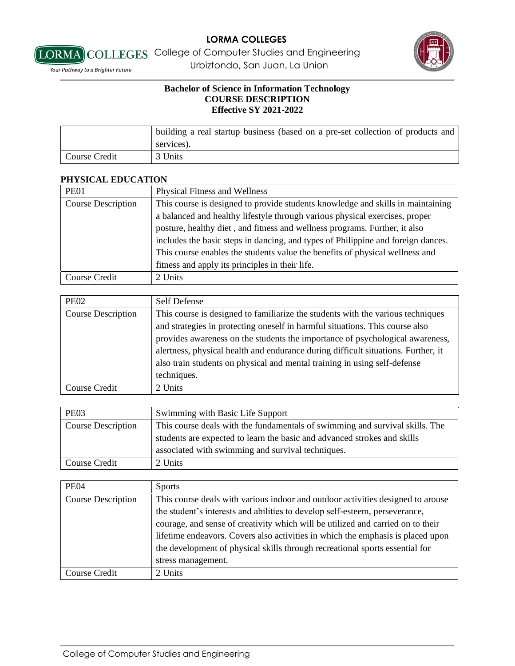



[LORMA] COLLEGES College of Computer Studies and Engineering *Vour Pathway to a Brighter Future* **Example 2** Urbiztondo, San Juan, La Union

## **Bachelor of Science in Information Technology COURSE DESCRIPTION Effective SY 2021-2022**

|               | building a real startup business (based on a pre-set collection of products and |
|---------------|---------------------------------------------------------------------------------|
|               | services).                                                                      |
| Course Credit | 3 Units                                                                         |

## **PHYSICAL EDUCATION**

| <b>PE01</b>               | <b>Physical Fitness and Wellness</b>                                             |
|---------------------------|----------------------------------------------------------------------------------|
| <b>Course Description</b> | This course is designed to provide students knowledge and skills in maintaining  |
|                           | a balanced and healthy lifestyle through various physical exercises, proper      |
|                           | posture, healthy diet, and fitness and wellness programs. Further, it also       |
|                           | includes the basic steps in dancing, and types of Philippine and foreign dances. |
|                           | This course enables the students value the benefits of physical wellness and     |
|                           | fitness and apply its principles in their life.                                  |
| Course Credit             | 2 Units                                                                          |

| <b>PE02</b>               | Self Defense                                                                                                                                                                                                                                                   |
|---------------------------|----------------------------------------------------------------------------------------------------------------------------------------------------------------------------------------------------------------------------------------------------------------|
| <b>Course Description</b> | This course is designed to familiarize the students with the various techniques<br>and strategies in protecting oneself in harmful situations. This course also                                                                                                |
|                           | provides awareness on the students the importance of psychological awareness,<br>alertness, physical health and endurance during difficult situations. Further, it<br>also train students on physical and mental training in using self-defense<br>techniques. |
| Course Credit             | 2 Units                                                                                                                                                                                                                                                        |

| <b>PE03</b>        | Swimming with Basic Life Support                                             |
|--------------------|------------------------------------------------------------------------------|
| Course Description | This course deals with the fundamentals of swimming and survival skills. The |
|                    | students are expected to learn the basic and advanced strokes and skills     |
|                    | associated with swimming and survival techniques.                            |
| Course Credit      | 2 Units                                                                      |

| <b>PE04</b>               | <b>Sports</b>                                                                                                                                                                                                                                                                                                                                                                                                                              |
|---------------------------|--------------------------------------------------------------------------------------------------------------------------------------------------------------------------------------------------------------------------------------------------------------------------------------------------------------------------------------------------------------------------------------------------------------------------------------------|
| <b>Course Description</b> | This course deals with various indoor and outdoor activities designed to arouse<br>the student's interests and abilities to develop self-esteem, perseverance,<br>courage, and sense of creativity which will be utilized and carried on to their<br>lifetime endeavors. Covers also activities in which the emphasis is placed upon<br>the development of physical skills through recreational sports essential for<br>stress management. |
| Course Credit             | 2 Units                                                                                                                                                                                                                                                                                                                                                                                                                                    |